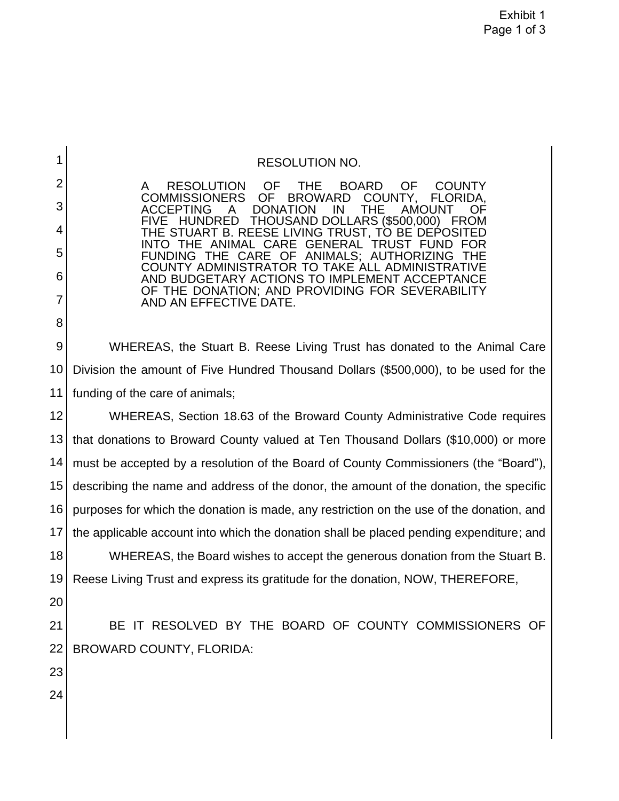RESOLUTION OF THE BOARD OF COUNTY<br>IMISSIONERS OF BROWARD COUNTY, FLORIDA, **COMMISSIONERS** ACCEPTING A DONATION IN THE AMOUNT OF FIVE HUNDRED THOUSAND DOLLARS (\$500,000) FROM THE STUART B. REESE LIVING TRUST, TO BE DEPOSITED INTO THE ANIMAL CARE GENERAL TRUST FUND FOR<br>FUNDING THE CARE OF ANIMALS: AUTHORIZING THE FUNDING THE CARE OF ANIMALS; AUTHORIZING THE COUNTY ADMINISTRATOR TO TAKE ALL ADMINISTRATIVE AND BUDGETARY ACTIONS TO IMPLEMENT ACCEPTANCE OF THE DONATION; AND PROVIDING FOR SEVERABILITY AND AN EFFECTIVE DATE.

9 10 11 WHEREAS, the Stuart B. Reese Living Trust has donated to the Animal Care Division the amount of Five Hundred Thousand Dollars (\$500,000), to be used for the funding of the care of animals;

12 13 14 15 16 17 WHEREAS, Section 18.63 of the Broward County Administrative Code requires that donations to Broward County valued at Ten Thousand Dollars (\$10,000) or more must be accepted by a resolution of the Board of County Commissioners (the "Board"), describing the name and address of the donor, the amount of the donation, the specific purposes for which the donation is made, any restriction on the use of the donation, and the applicable account into which the donation shall be placed pending expenditure; and

18 19 WHEREAS, the Board wishes to accept the generous donation from the Stuart B. Reese Living Trust and express its gratitude for the donation, NOW, THEREFORE,

20

1

2

3

4

5

6

7

8

21 22 BE IT RESOLVED BY THE BOARD OF COUNTY COMMISSIONERS OF BROWARD COUNTY, FLORIDA:

23 24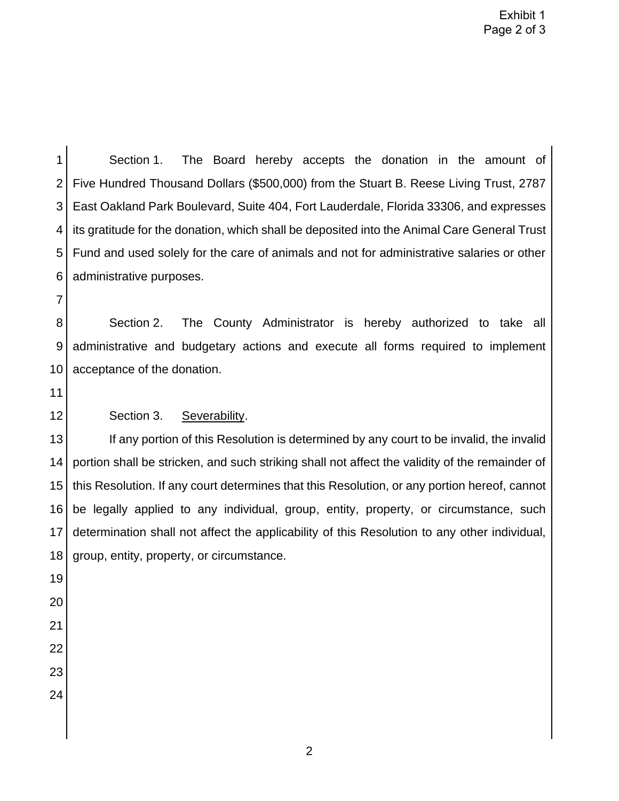1 2 3 4 5 6 Section 1. The Board hereby accepts the donation in the amount of Five Hundred Thousand Dollars (\$500,000) from the Stuart B. Reese Living Trust, 2787 East Oakland Park Boulevard, Suite 404, Fort Lauderdale, Florida 33306, and expresses its gratitude for the donation, which shall be deposited into the Animal Care General Trust Fund and used solely for the care of animals and not for administrative salaries or other administrative purposes.

7

8 9 10 Section 2. The County Administrator is hereby authorized to take all administrative and budgetary actions and execute all forms required to implement acceptance of the donation.

11

12

## Section 3. Severability.

13 14 15 16 17 18 If any portion of this Resolution is determined by any court to be invalid, the invalid portion shall be stricken, and such striking shall not affect the validity of the remainder of this Resolution. If any court determines that this Resolution, or any portion hereof, cannot be legally applied to any individual, group, entity, property, or circumstance, such determination shall not affect the applicability of this Resolution to any other individual, group, entity, property, or circumstance.

- 19 20 21
- 22
- 23
- 24